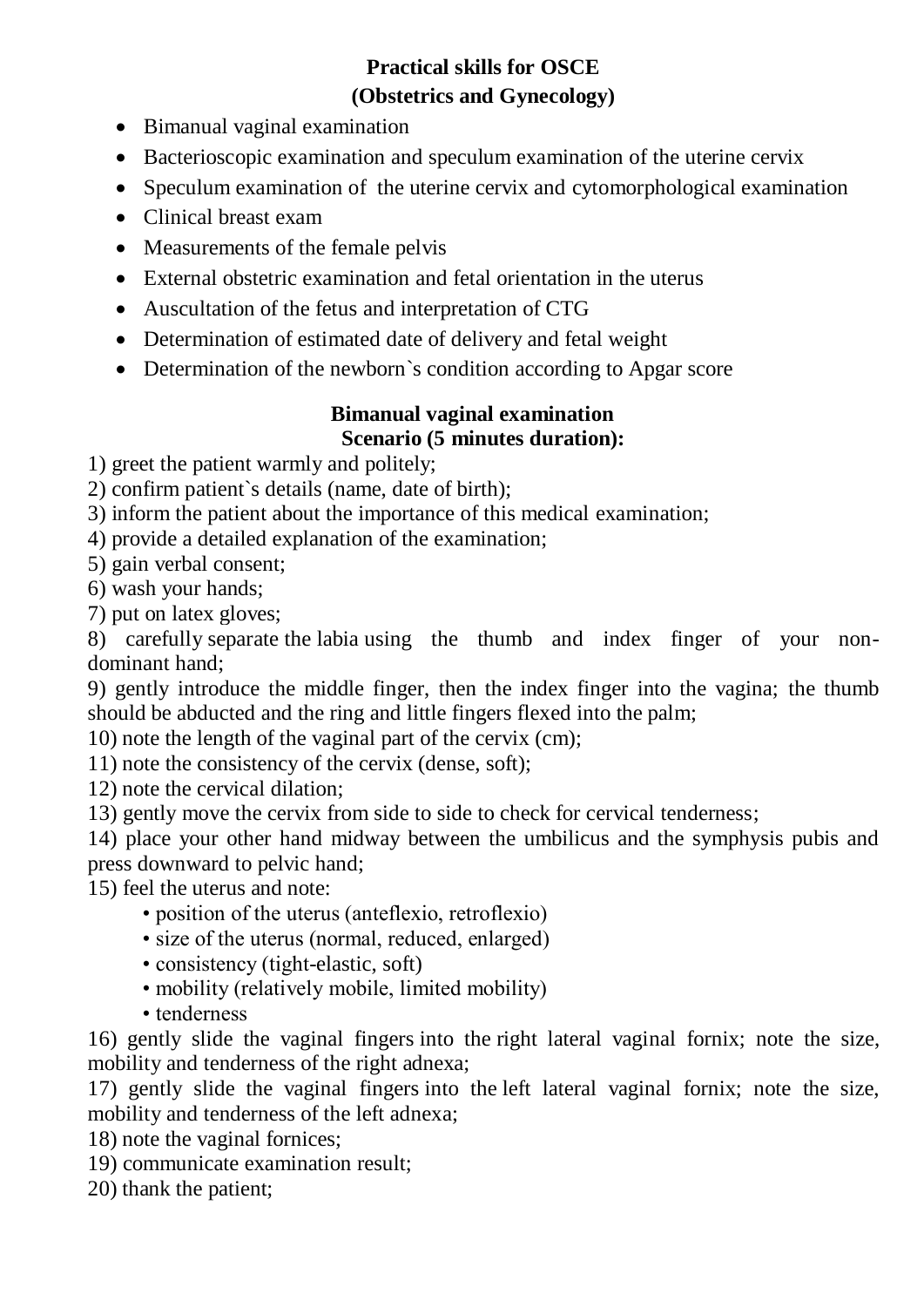# **Practical skills for OSCE (Obstetrics and Gynecology)**

- Bimanual vaginal examination
- Bacterioscopic examination and speculum examination of the uterine cervix
- Speculum examination of the uterine cervix and cytomorphological examination
- Clinical breast exam
- Measurements of the female pelvis
- External obstetric examination and fetal orientation in the uterus
- Auscultation of the fetus and interpretation of CTG
- Determination of estimated date of delivery and fetal weight
- Determination of the newborn's condition according to Apgar score

## **Bimanual vaginal examination Scenario (5 minutes duration):**

1) greet the patient warmly and politely;

2) confirm patient`s details (name, date of birth);

3) inform the patient about the importance of this medical examination;

4) provide a detailed explanation of the examination;

5) gain verbal consent;

6) wash your hands;

7) put on latex gloves;

8) carefully separate the labia using the thumb and index finger of your nondominant hand;

9) gently introduce the middle finger, then the index finger into the vagina; the thumb should be abducted and the ring and little fingers flexed into the palm;

10) note the length of the vaginal part of the cervix (cm);

11) note the consistency of the cervix (dense, soft);

12) note the cervical dilation;

13) gently move the cervix from side to side to check for cervical tenderness;

14) place your other hand midway between the umbilicus and the symphysis pubis and press downward to pelvic hand;

15) feel the uterus and note:

- position of the uterus (anteflexio, retroflexio)
- size of the uterus (normal, reduced, enlarged)
- consistency (tight-elastic, soft)
- mobility (relatively mobile, limited mobility)
- tenderness

16) gently slide the vaginal fingers into the right lateral vaginal fornix; note the size, mobility and tenderness of the right adnexa;

17) gently slide the vaginal fingers into the left lateral vaginal fornix; note the size, mobility and tenderness of the left adnexa;

18) note the vaginal fornices;

19) communicate examination result;

20) thank the patient;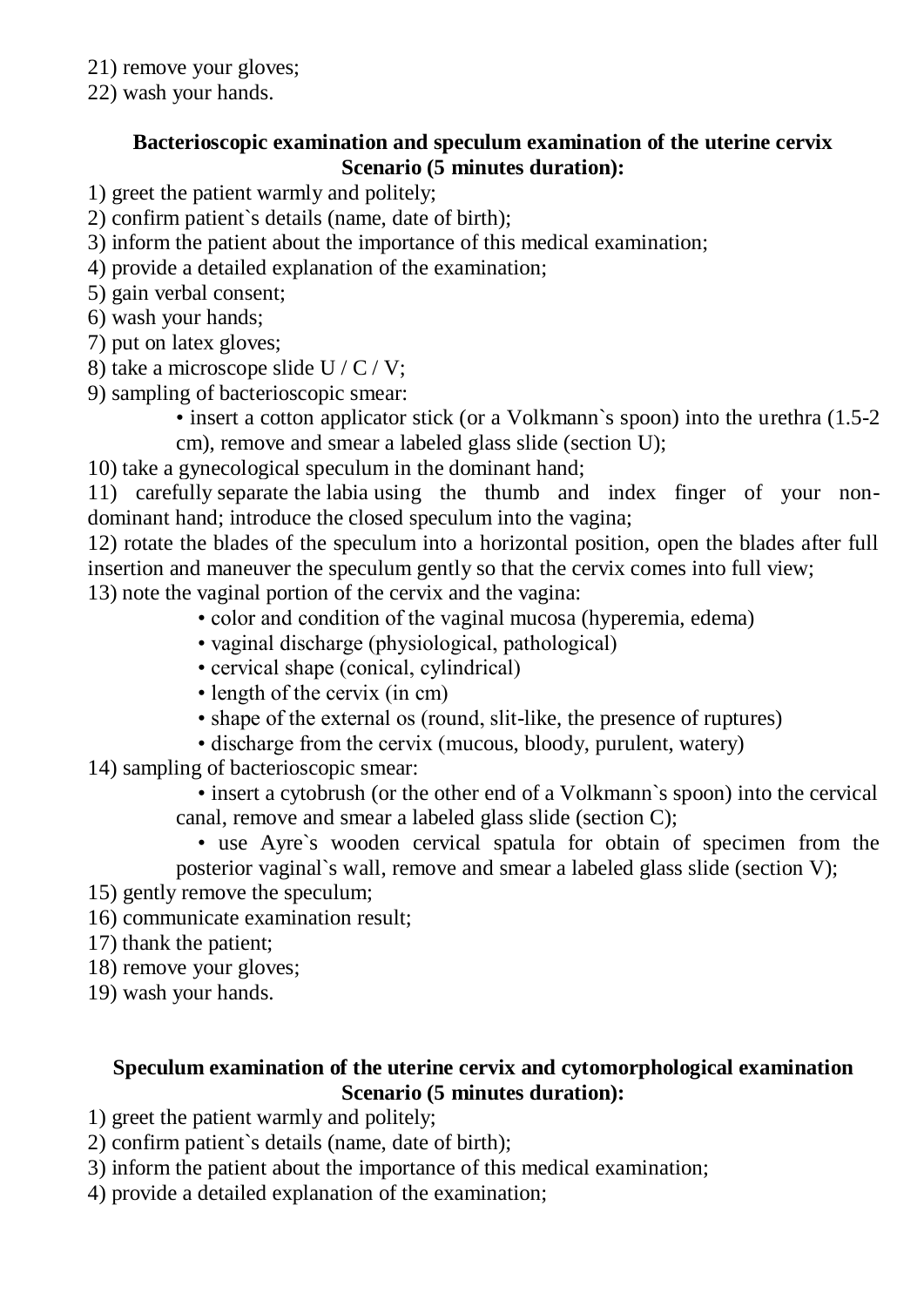- 21) remove your gloves;
- 22) wash your hands.

### **Bacterioscopic examination and speculum examination of the uterine cervix Scenario (5 minutes duration):**

- 1) greet the patient warmly and politely;
- 2) confirm patient`s details (name, date of birth);
- 3) inform the patient about the importance of this medical examination;
- 4) provide a detailed explanation of the examination;
- 5) gain verbal consent;
- 6) wash your hands;
- 7) put on latex gloves;
- 8) take a microscope slide U / C / V;
- 9) sampling of bacterioscopic smear:
	- insert a cotton applicator stick (or a Volkmann's spoon) into the urethra (1.5-2 cm), remove and smear a labeled glass slide (section U);

10) take a gynecological speculum in the dominant hand;

11) carefully separate the labia using the thumb and index finger of your nondominant hand; introduce the closed speculum into the vagina;

12) rotate the blades of the speculum into a horizontal position, open the blades after full insertion and maneuver the speculum gently so that the cervix comes into full view; 13) note the vaginal portion of the cervix and the vagina:

- color and condition of the vaginal mucosa (hyperemia, edema)
- vaginal discharge (physiological, pathological)
- cervical shape (conical, cylindrical)
- length of the cervix (in cm)
- shape of the external os (round, slit-like, the presence of ruptures)
- discharge from the cervix (mucous, bloody, purulent, watery)
- 14) sampling of bacterioscopic smear:

 • insert a cytobrush (or the other end of a Volkmann`s spoon) into the cervical canal, remove and smear a labeled glass slide (section C);

• use Ayre`s wooden cervical spatula for obtain of specimen from the

posterior vaginal`s wall, remove and smear a labeled glass slide (section V);

- 15) gently remove the speculum;
- 16) communicate examination result;
- 17) thank the patient;
- 18) remove your gloves;
- 19) wash your hands.

## **Speculum examination of the uterine cervix and cytomorphological examination Scenario (5 minutes duration):**

- 1) greet the patient warmly and politely;
- 2) confirm patient`s details (name, date of birth);
- 3) inform the patient about the importance of this medical examination;
- 4) provide a detailed explanation of the examination;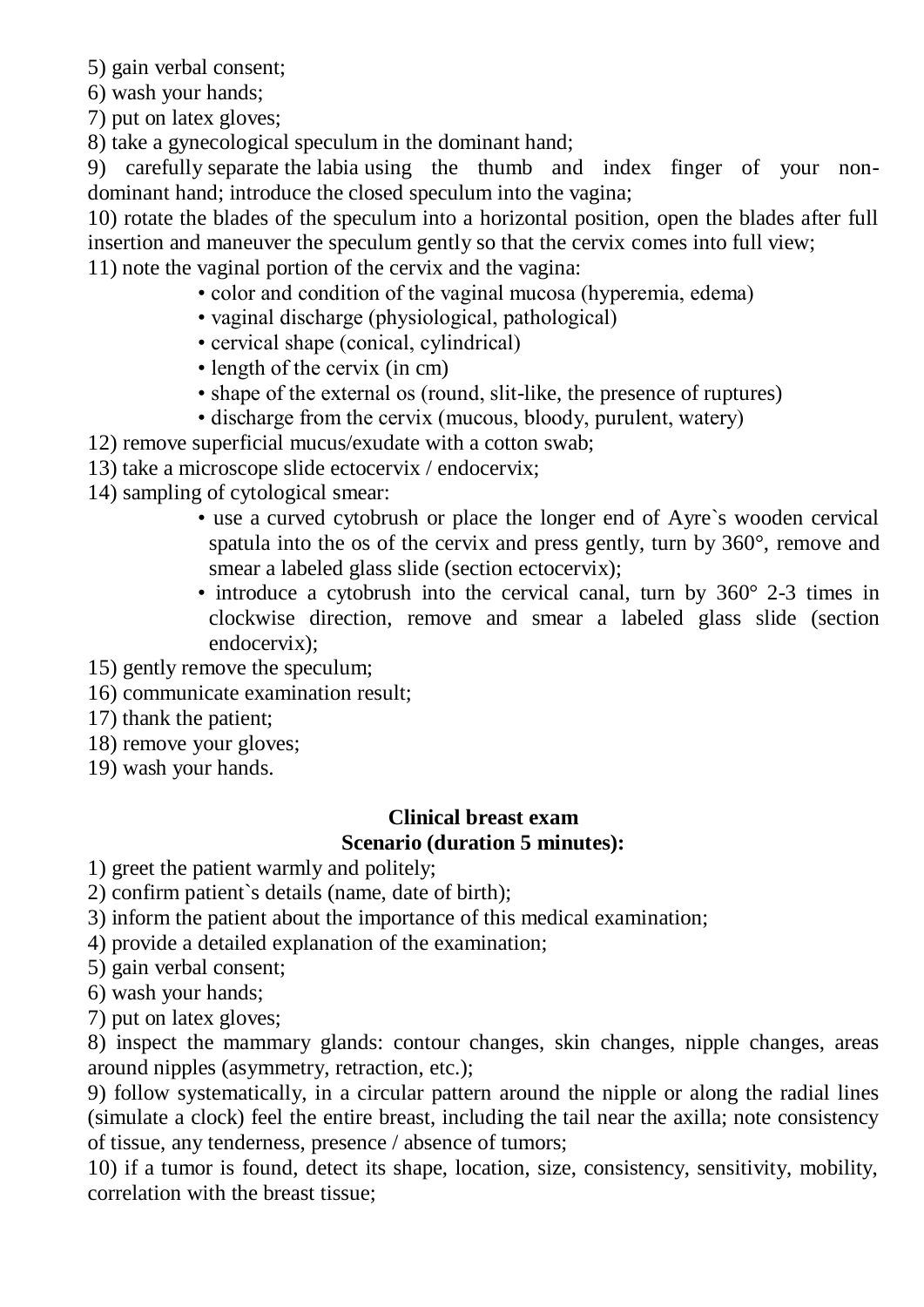5) gain verbal consent;

6) wash your hands;

7) put on latex gloves;

8) take a gynecological speculum in the dominant hand;

9) carefully separate the labia using the thumb and index finger of your nondominant hand; introduce the closed speculum into the vagina;

10) rotate the blades of the speculum into a horizontal position, open the blades after full insertion and maneuver the speculum gently so that the cervix comes into full view; 11) note the vaginal portion of the cervix and the vagina:

- color and condition of the vaginal mucosa (hyperemia, edema)
- vaginal discharge (physiological, pathological)
- cervical shape (conical, cylindrical)
- length of the cervix (in cm)
- shape of the external os (round, slit-like, the presence of ruptures)
- discharge from the cervix (mucous, bloody, purulent, watery)

12) remove superficial mucus/exudate with a cotton swab;

13) take a microscope slide ectocervix / endocervix;

14) sampling of cytological smear:

- use a curved cytobrush or place the longer end of Ayre`s wooden cervical spatula into the os of the cervix and press gently, turn by 360°, remove and smear a labeled glass slide (section ectocervix);
- introduce a cytobrush into the cervical canal, turn by 360° 2-3 times in clockwise direction, remove and smear a labeled glass slide (section endocervix);
- 15) gently remove the speculum;
- 16) communicate examination result;
- 17) thank the patient;
- 18) remove your gloves;
- 19) wash your hands.

### **Clinical breast exam Scenario (duration 5 minutes):**

1) greet the patient warmly and politely;

2) confirm patient`s details (name, date of birth);

- 3) inform the patient about the importance of this medical examination;
- 4) provide a detailed explanation of the examination;
- 5) gain verbal consent;
- 6) wash your hands;
- 7) put on latex gloves;

8) inspect the mammary glands: contour changes, skin changes, nipple changes, areas around nipples (asymmetry, retraction, etc.);

9) follow systematically, in a circular pattern around the nipple or along the radial lines (simulate a clock) feel the entire breast, including the tail near the axilla; note consistency of tissue, any tenderness, presence / absence of tumors;

10) if a tumor is found, detect its shape, location, size, consistency, sensitivity, mobility, correlation with the breast tissue;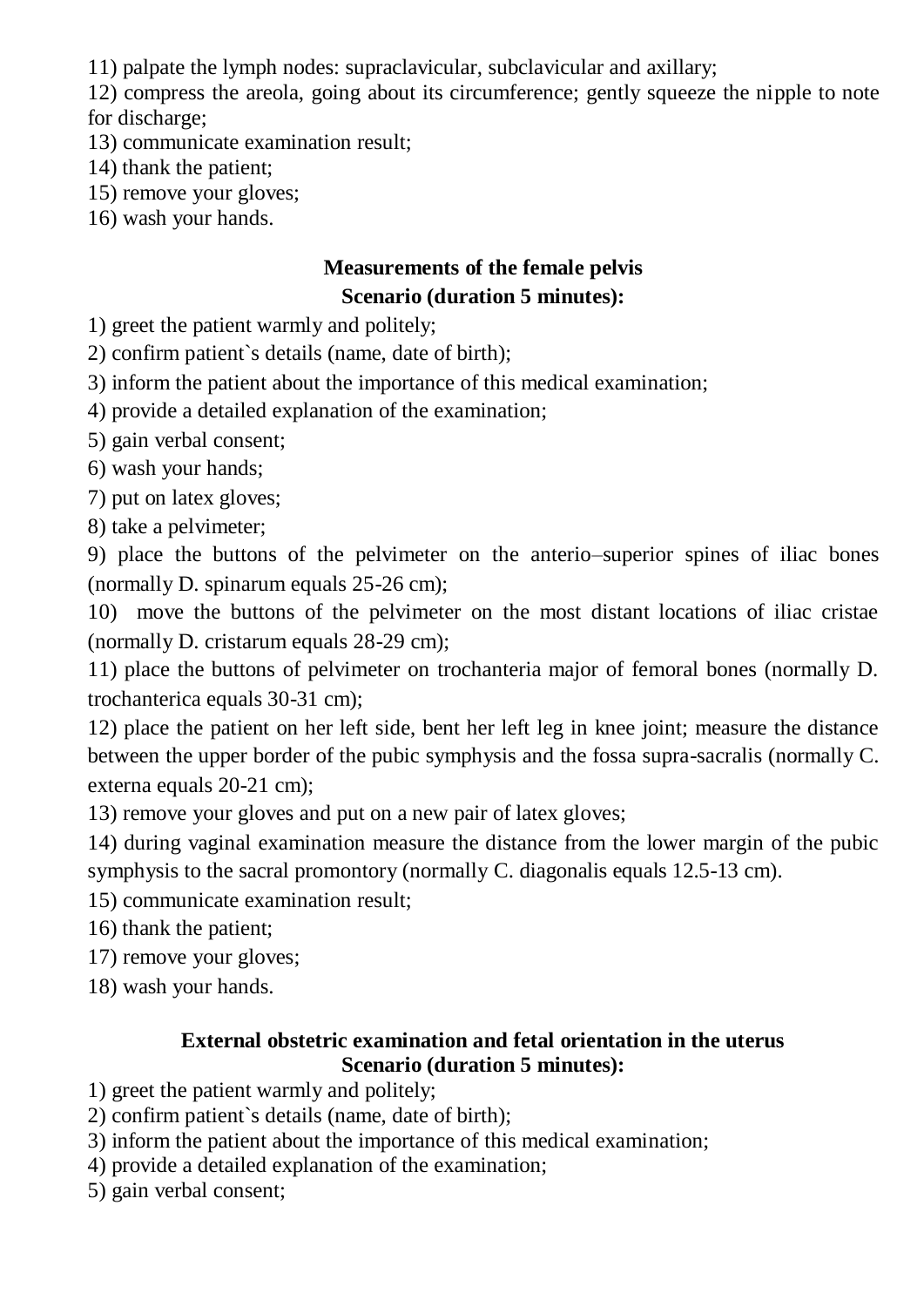11) palpate the lymph nodes: supraclavicular, subclavicular and axillary;

12) compress the areola, going about its circumference; gently squeeze the nipple to note for discharge;

- 13) communicate examination result;
- 14) thank the patient;
- 15) remove your gloves;
- 16) wash your hands.

# **Measurements of the female pelvis Scenario (duration 5 minutes):**

1) greet the patient warmly and politely;

2) confirm patient`s details (name, date of birth);

3) inform the patient about the importance of this medical examination;

4) provide a detailed explanation of the examination;

- 5) gain verbal consent;
- 6) wash your hands;

7) put on latex gloves;

8) take a pelvimeter;

9) place the buttons of the pelvimeter on the anterio–superior spines of iliac bones (normally D. spinarum equals 25-26 cm);

10) move the buttons of the pelvimeter on the most distant locations of iliac cristae (normally D. cristarum equals 28-29 cm);

11) place the buttons of pelvimeter on trochanteria major of femoral bones (normally D. trochanterica equals 30-31 cm);

12) place the patient on her left side, bent her left leg in knee joint; measure the distance between the upper border of the pubic symphysis and the fossa supra-sacralis (normally C. externa equals 20-21 cm);

13) remove your gloves and put on a new pair of latex gloves;

14) during vaginal examination measure the distance from the lower margin of the pubic symphysis to the sacral promontory (normally C. diagonalis equals 12.5-13 cm).

15) communicate examination result;

16) thank the patient;

17) remove your gloves;

18) wash your hands.

### **External obstetric examination and fetal orientation in the uterus Scenario (duration 5 minutes):**

1) greet the patient warmly and politely;

- 2) confirm patient`s details (name, date of birth);
- 3) inform the patient about the importance of this medical examination;
- 4) provide a detailed explanation of the examination;
- 5) gain verbal consent;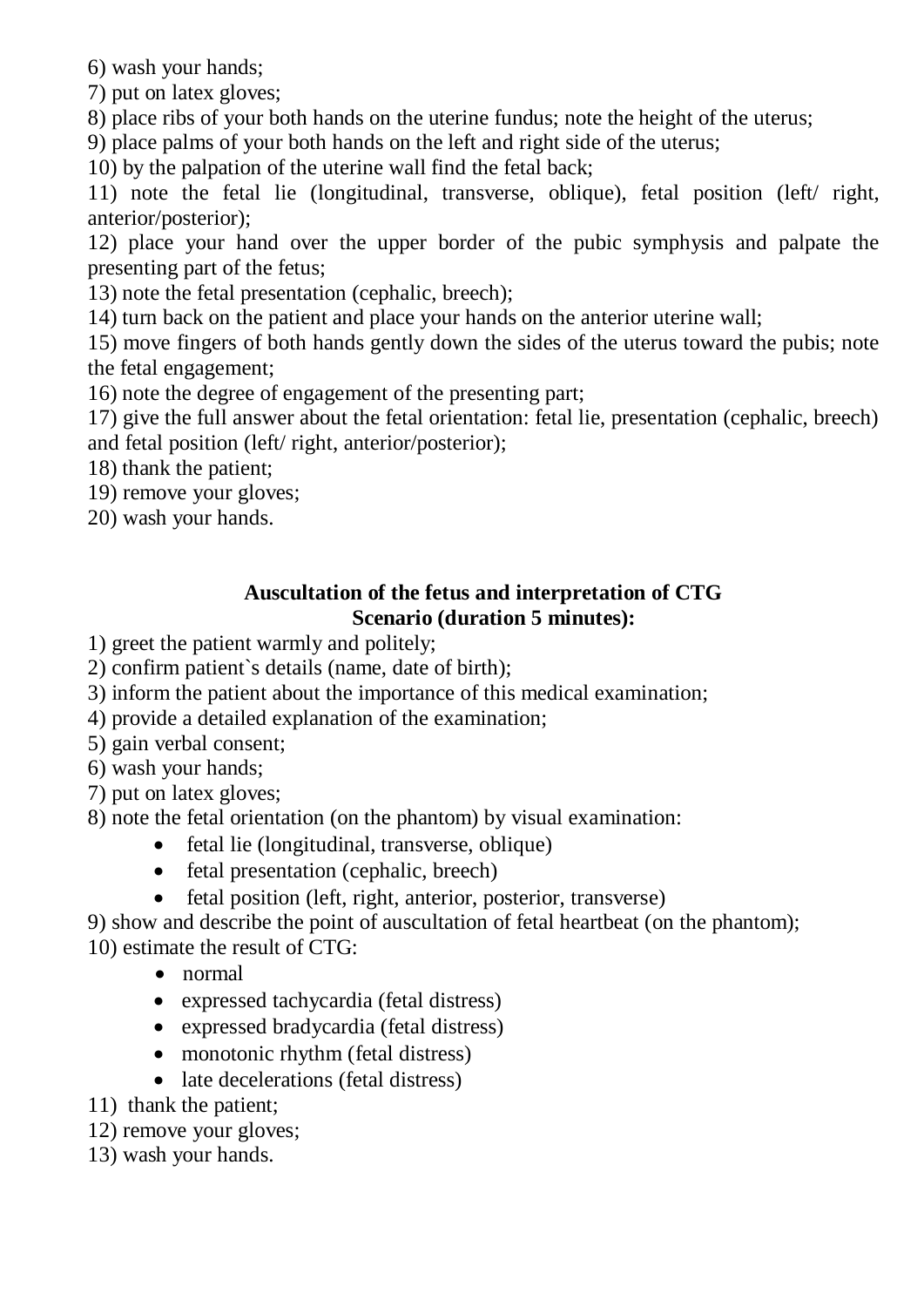6) wash your hands;

7) put on latex gloves;

8) place ribs of your both hands on the uterine fundus; note the height of the uterus;

9) place palms of your both hands on the left and right side of the uterus;

10) by the palpation of the uterine wall find the fetal back;

11) note the fetal lie (longitudinal, transverse, oblique), fetal position (left/ right, anterior/posterior);

12) place your hand over the upper border of the pubic symphysis and palpate the presenting part of the fetus;

13) note the fetal presentation (cephalic, breech);

14) turn back on the patient and place your hands on the anterior uterine wall;

15) move fingers of both hands gently down the sides of the uterus toward the pubis; note the fetal engagement;

16) note the degree of engagement of the presenting part;

17) give the full answer about the fetal orientation: fetal lie, presentation (cephalic, breech) and fetal position (left/ right, anterior/posterior);

18) thank the patient;

19) remove your gloves;

20) wash your hands.

### **Auscultation of the fetus and interpretation of CTG Scenario (duration 5 minutes):**

1) greet the patient warmly and politely;

2) confirm patient`s details (name, date of birth);

3) inform the patient about the importance of this medical examination;

4) provide a detailed explanation of the examination;

5) gain verbal consent;

6) wash your hands;

7) put on latex gloves;

8) note the fetal orientation (on the phantom) by visual examination:

- fetal lie (longitudinal, transverse, oblique)
- fetal presentation (cephalic, breech)
- fetal position (left, right, anterior, posterior, transverse)

9) show and describe the point of auscultation of fetal heartbeat (on the phantom);

10) estimate the result of CTG:

- normal
- expressed tachycardia (fetal distress)
- expressed bradycardia (fetal distress)
- monotonic rhythm (fetal distress)
- late decelerations (fetal distress)
- 11) thank the patient;
- 12) remove your gloves;
- 13) wash your hands.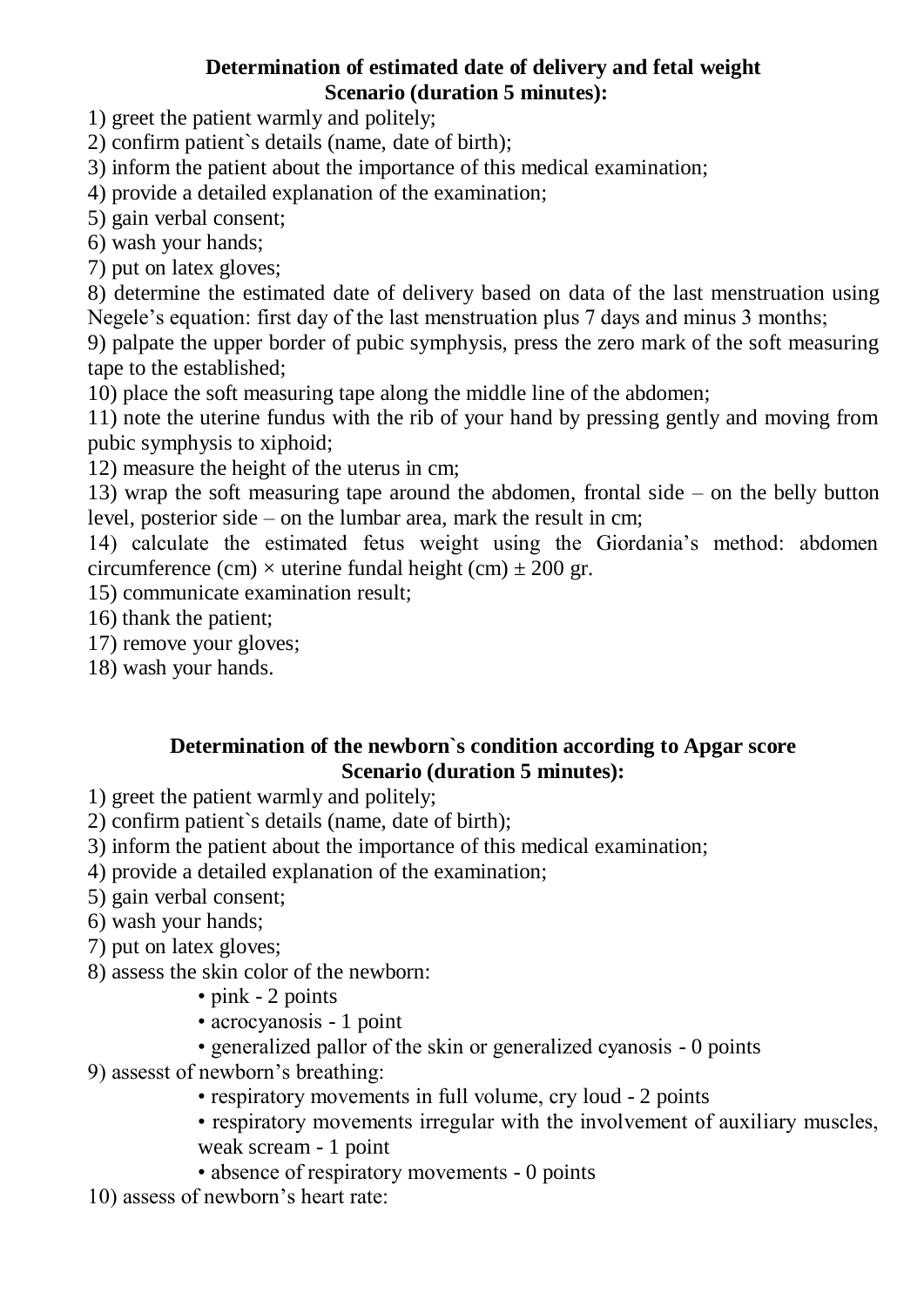### **Determination of estimated date of delivery and fetal weight Scenario (duration 5 minutes):**

1) greet the patient warmly and politely;

2) confirm patient`s details (name, date of birth);

3) inform the patient about the importance of this medical examination;

4) provide a detailed explanation of the examination;

5) gain verbal consent;

6) wash your hands;

7) put on latex gloves;

8) determine the estimated date of delivery based on data of the last menstruation using Negele's equation: first day of the last menstruation plus 7 days and minus 3 months;

9) palpate the upper border of pubic symphysis, press the zero mark of the soft measuring tape to the established;

10) place the soft measuring tape along the middle line of the abdomen;

11) note the uterine fundus with the rib of your hand by pressing gently and moving from pubic symphysis to xiphoid;

12) measure the height of the uterus in cm;

13) wrap the soft measuring tape around the abdomen, frontal side – on the belly button level, posterior side – on the lumbar area, mark the result in cm;

14) calculate the estimated fetus weight using the Giordania's method: abdomen circumference (cm)  $\times$  uterine fundal height (cm)  $\pm$  200 gr.

15) communicate examination result;

16) thank the patient;

17) remove your gloves;

18) wash your hands.

#### **Determination of the newborn`s condition according to Apgar score Scenario (duration 5 minutes):**

1) greet the patient warmly and politely;

- 2) confirm patient`s details (name, date of birth);
- 3) inform the patient about the importance of this medical examination;
- 4) provide a detailed explanation of the examination;
- 5) gain verbal consent;
- 6) wash your hands;
- 7) put on latex gloves;
- 8) assess the skin color of the newborn:
	- pink 2 points
	- acrocyanosis 1 point
	- generalized pallor of the skin or generalized cyanosis 0 points
- 9) assesst of newborn's breathing:
	- respiratory movements in full volume, cry loud 2 points
	- respiratory movements irregular with the involvement of auxiliary muscles, weak scream - 1 point
	- absence of respiratory movements 0 points

10) assess of newborn's heart rate: